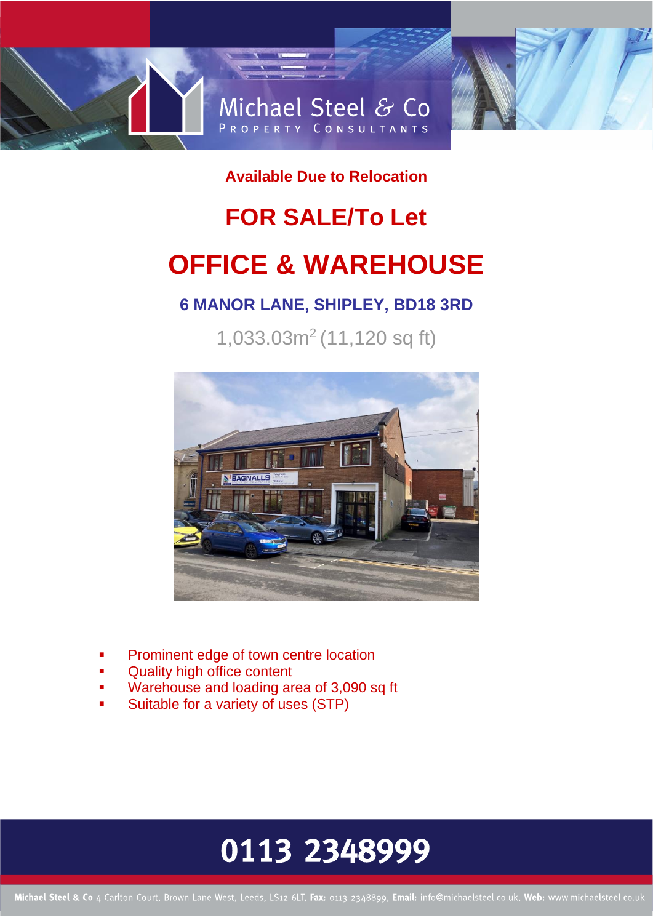

**Available Due to Relocation** 

# **FOR SALE/To Let OFFICE & WAREHOUSE**

### **6 MANOR LANE, SHIPLEY, BD18 3RD**

1,033.03m<sup>2</sup> (11,120 sq ft)



- Prominent edge of town centre location
- Quality high office content
- Warehouse and loading area of 3,090 sq ft
- Suitable for a variety of uses (STP)

### 0113 2348999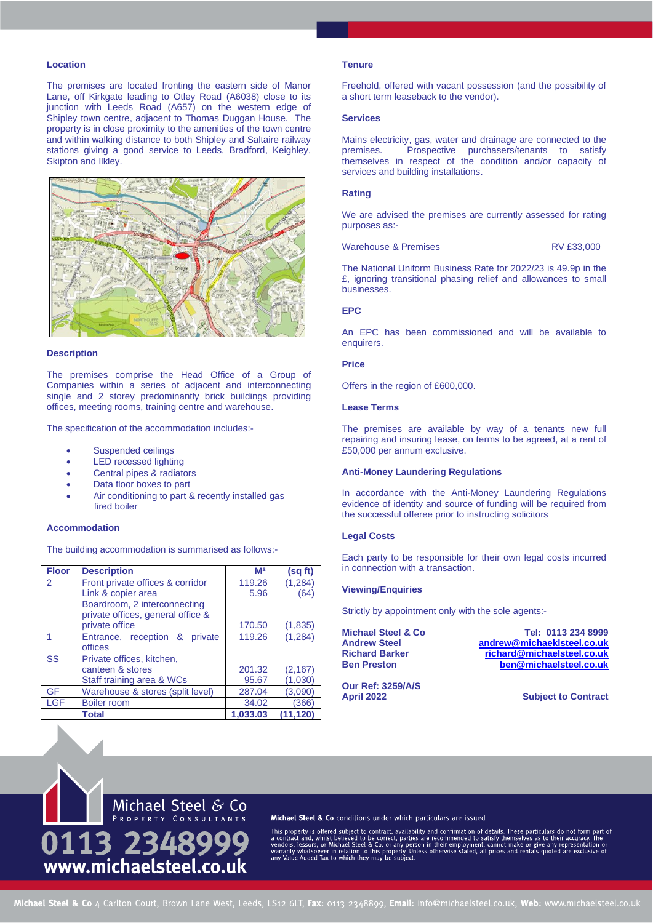#### **Location**

The premises are located fronting the eastern side of Manor Lane, off Kirkgate leading to Otley Road (A6038) close to its junction with Leeds Road (A657) on the western edge of Shipley town centre, adjacent to Thomas Duggan House. The property is in close proximity to the amenities of the town centre and within walking distance to both Shipley and Saltaire railway stations giving a good service to Leeds, Bradford, Keighley, Skipton and Ilkley.



#### **Description**

The premises comprise the Head Office of a Group of Companies within a series of adjacent and interconnecting single and 2 storey predominantly brick buildings providing offices, meeting rooms, training centre and warehouse.

The specification of the accommodation includes:-

- Suspended ceilings
- LED recessed lighting
- Central pipes & radiators
- Data floor boxes to part
- Air conditioning to part & recently installed gas fired boiler

#### **Accommodation**

The building accommodation is summarised as follows:-

| <b>Floor</b> | <b>Description</b>                                                | M <sup>2</sup> | (sq ft)  |
|--------------|-------------------------------------------------------------------|----------------|----------|
| 2            | Front private offices & corridor                                  | 119.26         | (1, 284) |
|              | Link & copier area                                                | 5.96           | (64)     |
|              | Boardroom, 2 interconnecting<br>private offices, general office & |                |          |
|              | private office                                                    | 170.50         | (1,835)  |
|              | Entrance, reception & private                                     | 119.26         | (1, 284) |
|              | offices                                                           |                |          |
| <b>SS</b>    | Private offices, kitchen,                                         |                |          |
|              | canteen & stores                                                  | 201.32         | (2, 167) |
|              | Staff training area & WCs                                         | 95.67          | (1,030)  |
| GF           | Warehouse & stores (split level)                                  | 287.04         | (3,090)  |
| <b>LGF</b>   | Boiler room                                                       | 34.02          | (366)    |
|              | Total                                                             | 1.033.03       | (11.120) |

#### **Tenure**

Freehold, offered with vacant possession (and the possibility of a short term leaseback to the vendor).

#### **Services**

Mains electricity, gas, water and drainage are connected to the premises. Prospective purchasers/tenants to satisfy Prospective purchasers/tenants to satisfy themselves in respect of the condition and/or capacity of services and building installations.

#### **Rating**

We are advised the premises are currently assessed for rating purposes as:-

Warehouse & Premises RV £33,000

The National Uniform Business Rate for 2022/23 is 49.9p in the £, ignoring transitional phasing relief and allowances to small businesses.

#### **EPC**

An EPC has been commissioned and will be available to enquirers.

#### **Price**

Offers in the region of £600,000.

#### **Lease Terms**

The premises are available by way of a tenants new full repairing and insuring lease, on terms to be agreed, at a rent of £50,000 per annum exclusive.

#### **Anti-Money Laundering Regulations**

In accordance with the Anti-Money Laundering Regulations evidence of identity and source of funding will be required from the successful offeree prior to instructing solicitors

#### **Legal Costs**

Each party to be responsible for their own legal costs incurred in connection with a transaction.

#### **Viewing/Enquiries**

Strictly by appointment only with the sole agents:-

**Michael Steel & Co Tel: 0113 234 8999 Andrew Steel [andrew@michaeklsteel.co.uk](mailto:andrew@michaeklsteel.co.uk) Richard Barker [richard@michaelsteel.co.uk](mailto:richard@michaelsteel.co.uk) Ben Preston [ben@michaelsteel.co.uk](mailto:ben@michaelsteel.co.uk)**

**Our Ref: 3259/A/S**

**April 2022 Subject to Contract**



#### Michael Steel & Co conditions under which particulars are issued

This property is offered subject to contact, availability and confirmation of details. These particulars do not form part of a contract and, whilst believed to be correct, parties are recommended to satisfy themselves as t